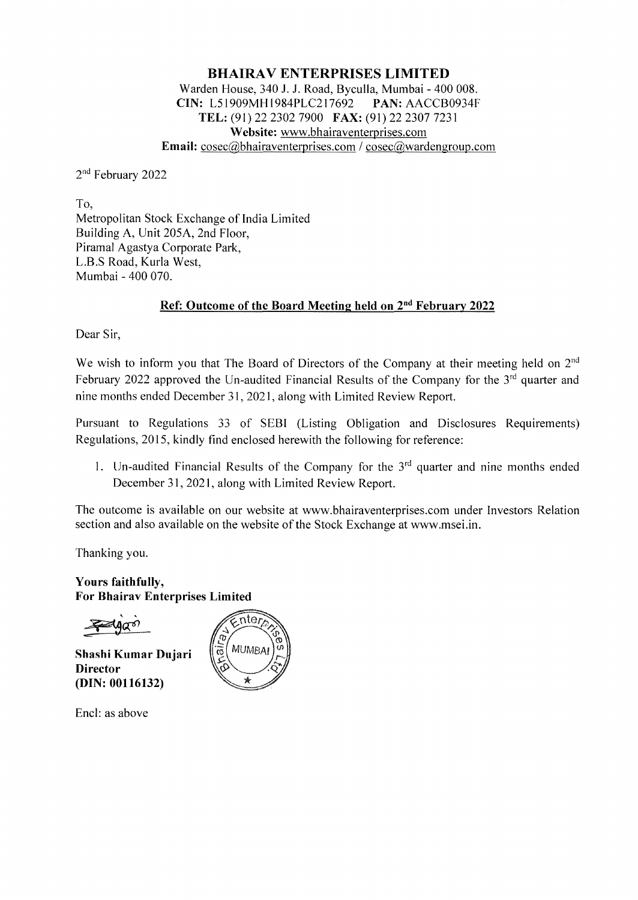## **BHAIRA V ENTERPRISES LIMITED**  Warden House, 340 **J.** J. Road, Byculla, Mumbai - 400 008. **CIN:** L51909MHl984PLC217692 **PAN:** AACCB0934F **TEL:** (91) 22 2302 7900 **FAX:** (91) 22 2307 7231 **Website:** www.bhairaventerprises.com **Email:**  $\csc(a)$ bhairaventerprises.com /  $\csc(a)$ wardengroup.com

2nd February 2022

To, Metropolitan Stock Exchange of India Limited Building A, Unit 205A, 2nd Floor, Piramal Agastya Corporate Park, L.B.S Road, Kurla West, Mumbai - 400 070.

# **Ref: Outcome of the Board Meeting held on 2nd February 2022**

Dear Sir,

We wish to inform you that The Board of Directors of the Company at their meeting held on 2<sup>nd</sup> February 2022 approved the Un-audited Financial Results of the Company for the 3<sup>rd</sup> quarter and nine months ended December 31, 202 I, along with Limited Review Report.

Pursuant to Regulations 33 of SEBI (Listing Obligation and Disclosures Requirements) Regulations, 2015, kindly find enclosed herewith the following for reference:

1. Un-audited Financial Results of the Company for the  $3<sup>rd</sup>$  quarter and nine months ended December 31, 2021, along with Limited Review Report.

The outcome is available on our website at www.bhairaventerprises.com under Investors Relation section and also available on the website of the Stock Exchange at www.msei.in.

Thanking you.

**Yours faithfully, For Bhairav Enterprises Limited** 

**Shashi Kumar Dujari Director (DIN: 00116132)** 



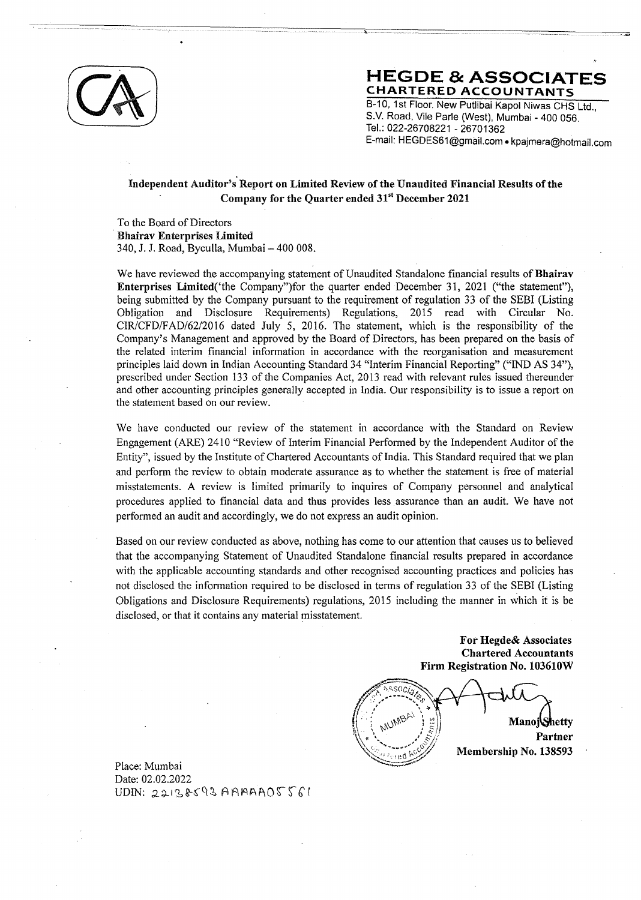

## **HEGDE & ASSOCIAT CHARTERED ACCOUNTANTS**

8-10, 1st Floor. New Putlibai Kapoi Niwas CHS Ltd., S.V. Road, Vile Parle (West), Mumbai - 400 056. Tel.: 022-26708221 - 26701362 E-mail: HEGDES61@gmail.com • kpajmera@hotmail.com

## **Independent Auditor's Report on Limited Review of the Unaudited Financial Results of the Company for the Quarter ended 31st December 2021**

To the Board of Directors · **Bhairav Enterprises Limited**  340, J. J. Road, Byculla, Mumbai - 400 008.

We have reviewed the accompanying statement of Unaudited Standalone financial results of **Bhairav Enterprises** Limited('the Company")for the quarter ended December 31, 2021 ("the statement"), being submitted by the Company pursuant to the requirement of regulation 33 of the SEBI (Listing Obligation and Disclosure Requirements) Regulations, 2015 read with Circular No. CIR/CFD/FAD/62/2016 dated July 5, 2016. The statement, which is the responsibility of the Company's Management and approved by the Board of Directors, has been prepared on the basis of the related interim financial information in accordance with the reorganisation and measurement principles laid down in Indian Accounting Standard 34 "Interim Financial Reporting" ("IND AS 34"), prescribed under Section 133 of the Companies Act, 2013 read with relevant rules issued thereunder and other accounting principles generally accepted in India. Our responsibility is to issue a report on the statement based on our review.

We have conducted our review of the statement in accordance with the Standard on Review Engagement (ARE) 2410 "Review of Interim Financial Performed by the Independent Auditor of the Entity", issued by the Institute of Chartered Accountants of India. This Standard required that we plan and perform the review to obtain moderate assurance as to whether the statement is free of material misstatements. A review is limited primarily to inquires of Company personnel and analytical procedures applied to financial data and thus provides less assurance than an audit. We have not performed an audit and accordingly, we do not express an audit opinion.

Based on our review conducted as above, nothing has come to our attention that causes us to believed that the accompanying Statement of Unaudited Standalone financial results prepared in accordance with the applicable accounting standards and other recognised accounting practices and policies has not disclosed the infonnation required to be disclosed in tenns of regulation 33 of the SEBI (Listing Obligations and Disclosure Requirements) regulations, 2015 including the manner in which it is be disclosed, or that it contains any material misstatement.

> **For Hegde& Associates Chartered Accountants Firm Registration No. 103610W**

ssoc WINABF **Mano**j*Shetty* **Partner Membership No.138593** 

Place: Mumbai Date: 02.02.2022  $UDIN: 22138593$  AAAAAOSS61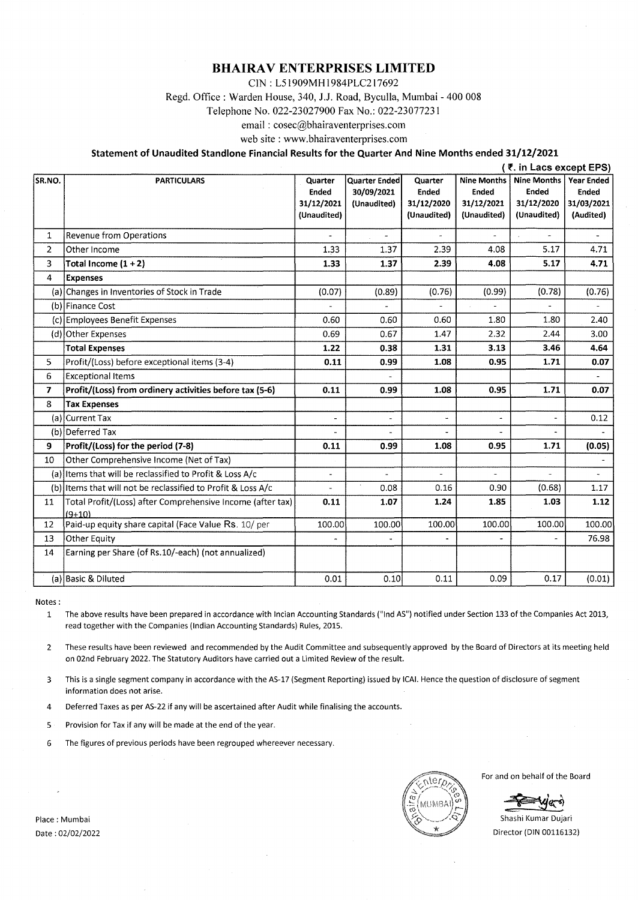#### **BHAIRA V ENTERPRISES LIMITED**

CIN : L5 l 909MHI 984PLC2 **l** 7692

Regd. Office: Warden House, 340, J.J. Road, Byculla, Mumbai - 400 008

Telephone No. 022-23027900 Fax No.: 022-23077231

email : cosec@bhairaventerprises.com

web site : www.bhairaventerprises.com

#### **Statement of Unaudited Standlone Financial Results for the Quarter And Nine Months ended 31/12/2021**

|                |                                                                        | (₹. in Lacs except EPS)   |                                    |                           |                                    |                             |                            |
|----------------|------------------------------------------------------------------------|---------------------------|------------------------------------|---------------------------|------------------------------------|-----------------------------|----------------------------|
| SR.NO.         | <b>PARTICULARS</b>                                                     | Quarter<br><b>Ended</b>   | <b>Quarter Ended</b><br>30/09/2021 | Quarter<br><b>Ended</b>   | <b>Nine Months</b><br><b>Ended</b> | <b>Nine Months</b><br>Ended | <b>Year Ended</b><br>Ended |
|                |                                                                        | 31/12/2021<br>(Unaudited) | (Unaudited)                        | 31/12/2020<br>(Unaudited) | 31/12/2021<br>(Unaudited)          | 31/12/2020<br>(Unaudited)   | 31/03/2021<br>(Audited)    |
| 1              | Revenue from Operations                                                |                           |                                    |                           |                                    | ä,                          |                            |
| $\overline{2}$ | Other Income                                                           | 1.33                      | 1.37                               | 2.39                      | 4.08                               | 5.17                        | 4.71                       |
| 3              | Total Income $(1 + 2)$                                                 | 1.33                      | 1.37                               | 2.39                      | 4.08                               | 5.17                        | 4.71                       |
| 4              | <b>Expenses</b>                                                        |                           |                                    |                           |                                    |                             |                            |
|                | (a) Changes in Inventories of Stock in Trade                           | (0.07)                    | (0.89)                             | (0.76)                    | (0.99)                             | (0.78)                      | (0.76)                     |
|                | (b) Finance Cost                                                       |                           |                                    |                           |                                    |                             |                            |
|                | (c) Employees Benefit Expenses                                         | 0.60                      | 0.60                               | 0.60                      | 1.80                               | 1.80                        | 2.40                       |
|                | (d) Other Expenses                                                     | 0.69                      | 0.67                               | 1.47                      | 2.32                               | 2.44                        | 3.00                       |
|                | <b>Total Expenses</b>                                                  | 1.22                      | 0.38                               | 1.31                      | 3.13                               | 3.46                        | 4.64                       |
| 5              | Profit/(Loss) before exceptional items (3-4)                           | 0.11                      | 0.99                               | 1.08                      | 0.95                               | 1.71                        | 0.07                       |
| 6              | <b>Exceptional Items</b>                                               |                           |                                    |                           |                                    |                             |                            |
| 7              | Profit/(Loss) from ordinery activities before tax (5-6)                | 0.11                      | 0.99                               | 1.08                      | 0.95                               | 1.71                        | 0.07                       |
| 8              | <b>Tax Expenses</b>                                                    |                           |                                    |                           |                                    |                             |                            |
|                | (a) Current Tax                                                        |                           | u,                                 | ä,                        | ä,                                 |                             | 0.12                       |
|                | (b) Deferred Tax                                                       |                           | ÷.                                 |                           | $\overline{a}$                     | $\overline{a}$              |                            |
| 9              | Profit/(Loss) for the period (7-8)                                     | 0.11                      | 0.99                               | 1.08                      | 0.95                               | 1.71                        | (0.05)                     |
| 10             | Other Comprehensive Income (Net of Tax)                                |                           |                                    |                           |                                    |                             |                            |
|                | (a) Items that will be reclassified to Profit & Loss A/c               | ٠                         |                                    |                           |                                    |                             |                            |
|                | (b) Items that will not be reclassified to Profit & Loss A/c           | L.                        | 0.08                               | 0.16                      | 0.90                               | (0.68)                      | 1.17                       |
| 11             | Total Profit/(Loss) after Comprehensive Income (after tax)<br>$(9+10)$ | 0.11                      | 1.07                               | 1.24                      | 1.85                               | 1.03                        | 1.12                       |
| 12             | Paid-up equity share capital (Face Value Rs. 10/ per                   | 100.00                    | 100.00                             | 100.00                    | 100.00                             | 100.00                      | 100.00                     |
| 13             | Other Equity                                                           |                           |                                    |                           |                                    |                             | 76.98                      |
| 14             | Earning per Share (of Rs.10/-each) (not annualized)                    |                           |                                    |                           |                                    |                             |                            |
|                | (a) Basic & Diluted                                                    | 0.01                      | 0.10                               | 0.11                      | 0.09                               | 0.17                        | (0.01)                     |

Notes:

1 The above results have been prepared in accordance with lncian Accounting Standards ("Ind AS") notified under Section 133 of the Companies Act 2013, read together with the Companies (Indian Accounting Standards) Rules, 2015.

2 These results have been reviewed and recommended by the Audit Committee and subsequently approved by the Board of Directors at its meeting held on 02nd February 2022. The Statutory Auditors have carried out a Limited Review of the result.

3 This is a single segment company in accordance with the AS-17 (Segment Reporting) issued by ICAI. Hence the question of disclosure of segment information does not arise.

4 Deferred Taxes as per AS-22 if any will be ascertained after Audit while finalising the accounts.

5 Provision for Tax if any will be made at the end of the year.

6 The figures of previous periods have been regrouped whereever necessary.

For and on behalf of the Board

Shashi Kumar Dujari Director (DIN 00116132)

Place: Mumbai Date : 02/02/2022